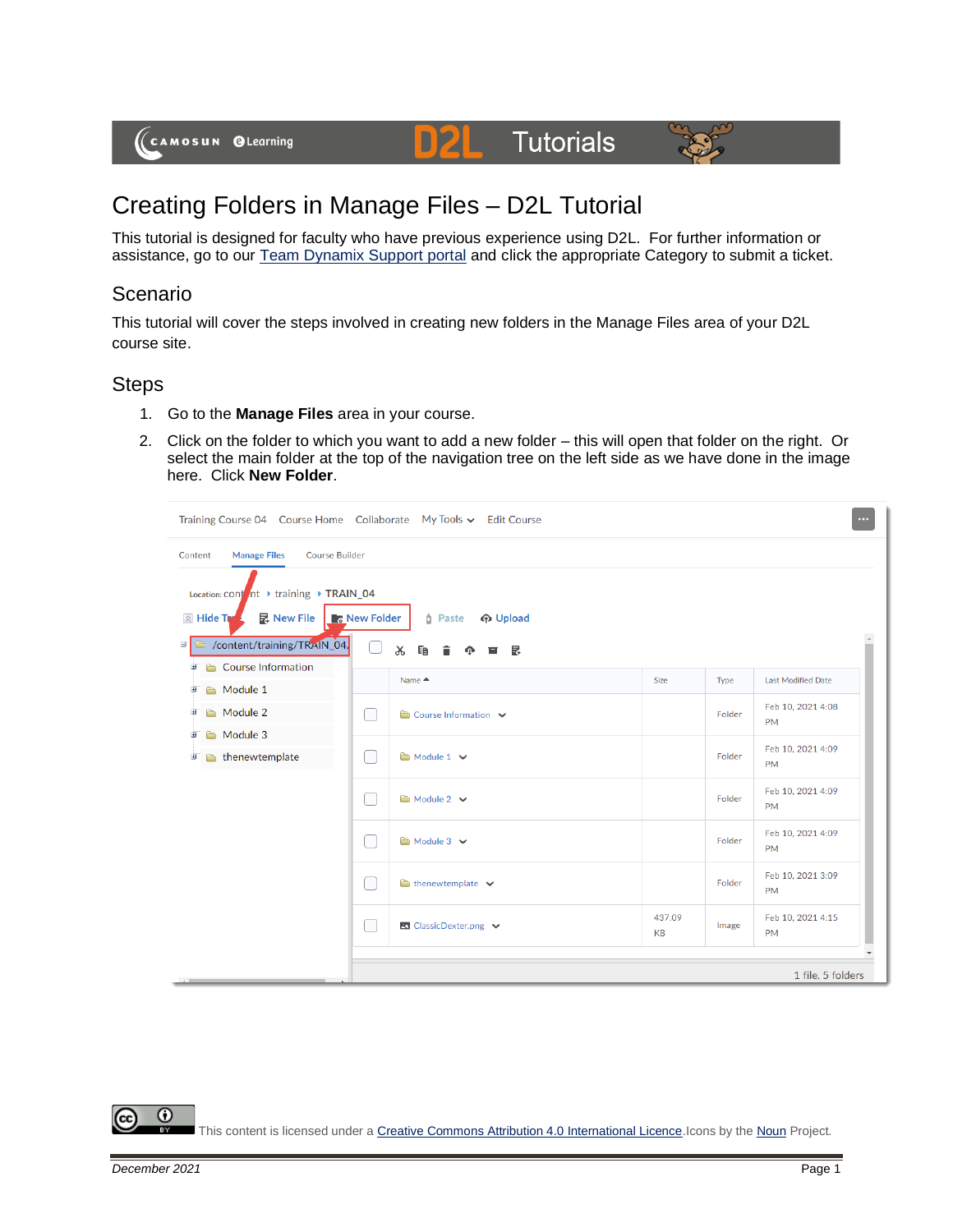

# **Tutorials**



# Creating Folders in Manage Files – D2L Tutorial

D

This tutorial is designed for faculty who have previous experience using D2L. For further information or assistance, go to our **Team Dynamix Support portal** and click the appropriate Category to submit a ticket.

## **Scenario**

This tutorial will cover the steps involved in creating new folders in the Manage Files area of your D2L course site.

#### **Steps**

- 1. Go to the **Manage Files** area in your course.
- 2. Click on the folder to which you want to add a new folder this will open that folder on the right. Or select the main folder at the top of the navigation tree on the left side as we have done in the image here. Click **New Folder**.

|                                                                                                                                                                                           | Training Course 04 Course Home Collaborate My Tools v Edit Course                  |              |        | $\cdots$                       |
|-------------------------------------------------------------------------------------------------------------------------------------------------------------------------------------------|------------------------------------------------------------------------------------|--------------|--------|--------------------------------|
| <b>Manage Files</b><br><b>Course Builder</b><br>Content<br>Location: cont nt → training → TRAIN_04<br>昆 New File<br><b>A</b> Hide T<br>/content/training/TRAIN_04<br>er.<br>$\Rightarrow$ | <b>New Folder</b><br><b>A</b> Upload<br><b><i>n</i></b> Paste<br>Ж<br>昆<br>Ee<br>н |              |        |                                |
| Course Information<br>由<br>Module 1<br>ϕ<br>Module 2<br>œ<br>Module 3<br>Θ<br>thenewtemplate<br>Đ                                                                                         | Name ▲                                                                             | Size         | Type   | Last Modified Date             |
|                                                                                                                                                                                           | Course Information V                                                               |              | Folder | Feb 10, 2021 4:08<br><b>PM</b> |
|                                                                                                                                                                                           | Module 1 v                                                                         |              | Folder | Feb 10, 2021 4:09<br><b>PM</b> |
|                                                                                                                                                                                           | Module 2 V                                                                         |              | Folder | Feb 10, 2021 4:09<br><b>PM</b> |
|                                                                                                                                                                                           | Module 3 V                                                                         |              | Folder | Feb 10, 2021 4:09<br><b>PM</b> |
|                                                                                                                                                                                           | $\bullet$ thenewtemplate $\checkmark$                                              |              | Folder | Feb 10, 2021 3:09<br><b>PM</b> |
|                                                                                                                                                                                           | ■ ClassicDexter.png ↓                                                              | 437.09<br>KB | Image  | Feb 10, 2021 4:15<br><b>PM</b> |
|                                                                                                                                                                                           |                                                                                    |              |        | 1 file, 5 folders              |

 $\odot$ This content is licensed under [a Creative Commons Attribution 4.0 International Licence.I](https://creativecommons.org/licenses/by/4.0/)cons by th[e Noun](https://creativecommons.org/website-icons/) Project.